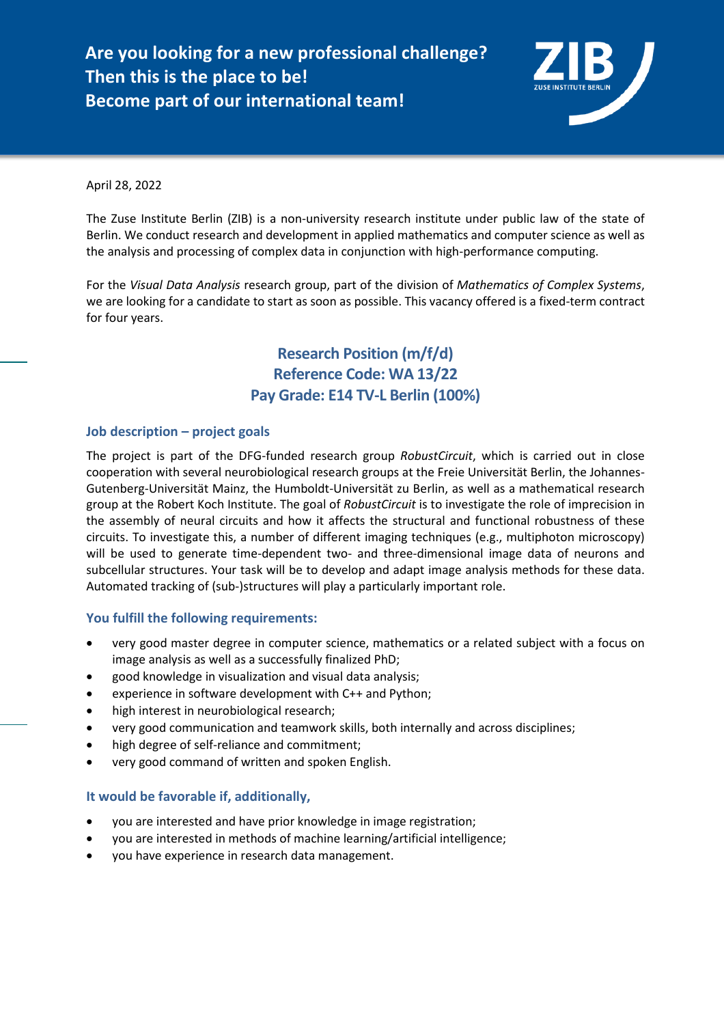**Are you looking for a new professional challenge? Then this is the place to be! Become part of our international team!** 



April 28, 2022

The Zuse Institute Berlin (ZIB) is a non-university research institute under public law of the state of Berlin. We conduct research and development in applied mathematics and computer science as well as the analysis and processing of complex data in conjunction with high-performance computing.

For the *Visual Data Analysis* research group, part of the division of *Mathematics of Complex Systems*, we are looking for a candidate to start as soon as possible. This vacancy offered is a fixed-term contract for four years.

> **Research Position (m/f/d) Reference Code: WA 13/22 Pay Grade: E14 TV-L Berlin (100%)**

## **Job description – project goals**

The project is part of the DFG-funded research group *RobustCircuit*, which is carried out in close cooperation with several neurobiological research groups at the Freie Universität Berlin, the Johannes-Gutenberg-Universität Mainz, the Humboldt-Universität zu Berlin, as well as a mathematical research group at the Robert Koch Institute. The goal of *RobustCircuit* is to investigate the role of imprecision in the assembly of neural circuits and how it affects the structural and functional robustness of these circuits. To investigate this, a number of different imaging techniques (e.g., multiphoton microscopy) will be used to generate time-dependent two- and three-dimensional image data of neurons and subcellular structures. Your task will be to develop and adapt image analysis methods for these data. Automated tracking of (sub-)structures will play a particularly important role.

## **You fulfill the following requirements:**

- very good master degree in computer science, mathematics or a related subject with a focus on image analysis as well as a successfully finalized PhD;
- good knowledge in visualization and visual data analysis;
- experience in software development with C++ and Python;
- high interest in neurobiological research;
- very good communication and teamwork skills, both internally and across disciplines;
- high degree of self-reliance and commitment;
- very good command of written and spoken English.

## **It would be favorable if, additionally,**

- you are interested and have prior knowledge in image registration;
- you are interested in methods of machine learning/artificial intelligence;
- you have experience in research data management.